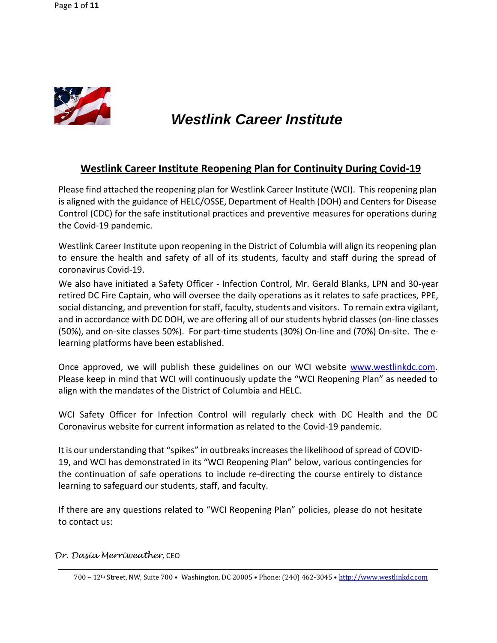

# *Westlink Career Institute*

## **Westlink Career Institute Reopening Plan for Continuity During Covid-19**

Please find attached the reopening plan for Westlink Career Institute (WCI). This reopening plan is aligned with the guidance of HELC/OSSE, Department of Health (DOH) and Centers for Disease Control (CDC) for the safe institutional practices and preventive measures for operations during the Covid-19 pandemic.

Westlink Career Institute upon reopening in the District of Columbia will align its reopening plan to ensure the health and safety of all of its students, faculty and staff during the spread of coronavirus Covid-19.

We also have initiated a Safety Officer - Infection Control, Mr. Gerald Blanks, LPN and 30-year retired DC Fire Captain, who will oversee the daily operations as it relates to safe practices, PPE, social distancing, and prevention for staff, faculty, students and visitors. To remain extra vigilant, and in accordance with DC DOH, we are offering all of our students hybrid classes (on-line classes (50%), and on-site classes 50%). For part-time students (30%) On-line and (70%) On-site. The elearning platforms have been established.

Once approved, we will publish these guidelines on our WCI website [www.westlinkdc.com.](http://www.westlinkdc.com/) Please keep in mind that WCI will continuously update the "WCI Reopening Plan" as needed to align with the mandates of the District of Columbia and HELC.

WCI Safety Officer for Infection Control will regularly check with DC Health and the DC Coronavirus website for current information as related to the Covid-19 pandemic.

It is our understanding that "spikes" in outbreaks increases the likelihood of spread of COVID-19, and WCI has demonstrated in its "WCI Reopening Plan" below, various contingencies for the continuation of safe operations to include re-directing the course entirely to distance learning to safeguard our students, staff, and faculty.

If there are any questions related to "WCI Reopening Plan" policies, please do not hesitate to contact us:

#### *Dr. Dasia Merriweather*, CEO

<sup>700</sup> – 12th Street, NW, Suite 700 • Washington, DC 20005 • Phone: (240) 462-3045 • [http://www.westlinkdc.com](http://www.westlinkdc.com/)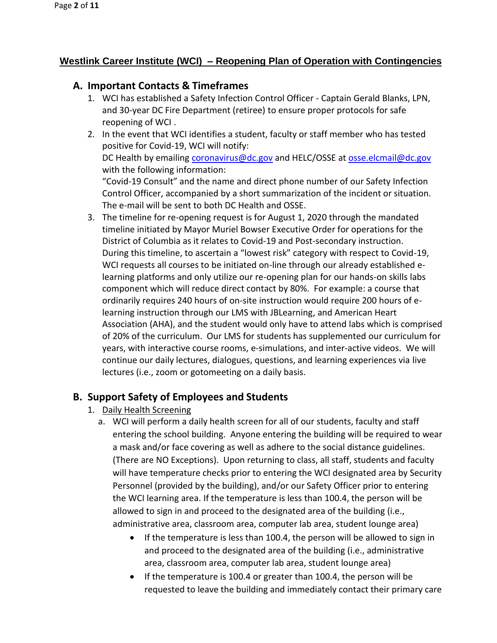# **Westlink Career Institute (WCI) – Reopening Plan of Operation with Contingencies**

# **A. Important Contacts & Timeframes**

- 1. WCI has established a Safety Infection Control Officer Captain Gerald Blanks, LPN, and 30-year DC Fire Department (retiree) to ensure proper protocols for safe reopening of WCI .
- 2. In the event that WCI identifies a student, faculty or staff member who has tested positive for Covid-19, WCI will notify: DC Health by emailing [coronavirus@dc.gov](mailto:coronavirus@dc.gov) and HELC/OSSE at [osse.elcmail@dc.gov](mailto:osse.elcmail@dc.gov) with the following information: "Covid-19 Consult" and the name and direct phone number of our Safety Infection Control Officer, accompanied by a short summarization of the incident or situation. The e-mail will be sent to both DC Health and OSSE.
- 3. The timeline for re-opening request is for August 1, 2020 through the mandated timeline initiated by Mayor Muriel Bowser Executive Order for operations for the District of Columbia as it relates to Covid-19 and Post-secondary instruction. During this timeline, to ascertain a "lowest risk" category with respect to Covid-19, WCI requests all courses to be initiated on-line through our already established elearning platforms and only utilize our re-opening plan for our hands-on skills labs component which will reduce direct contact by 80%. For example: a course that ordinarily requires 240 hours of on-site instruction would require 200 hours of elearning instruction through our LMS with JBLearning, and American Heart Association (AHA), and the student would only have to attend labs which is comprised of 20% of the curriculum. Our LMS for students has supplemented our curriculum for years, with interactive course rooms, e-simulations, and inter-active videos. We will continue our daily lectures, dialogues, questions, and learning experiences via live lectures (i.e., zoom or gotomeeting on a daily basis.

# **B. Support Safety of Employees and Students**

- 1. Daily Health Screening
	- a. WCI will perform a daily health screen for all of our students, faculty and staff entering the school building. Anyone entering the building will be required to wear a mask and/or face covering as well as adhere to the social distance guidelines. (There are NO Exceptions). Upon returning to class, all staff, students and faculty will have temperature checks prior to entering the WCI designated area by Security Personnel (provided by the building), and/or our Safety Officer prior to entering the WCI learning area. If the temperature is less than 100.4, the person will be allowed to sign in and proceed to the designated area of the building (i.e., administrative area, classroom area, computer lab area, student lounge area)
		- If the temperature is less than 100.4, the person will be allowed to sign in and proceed to the designated area of the building (i.e., administrative area, classroom area, computer lab area, student lounge area)
		- If the temperature is 100.4 or greater than 100.4, the person will be requested to leave the building and immediately contact their primary care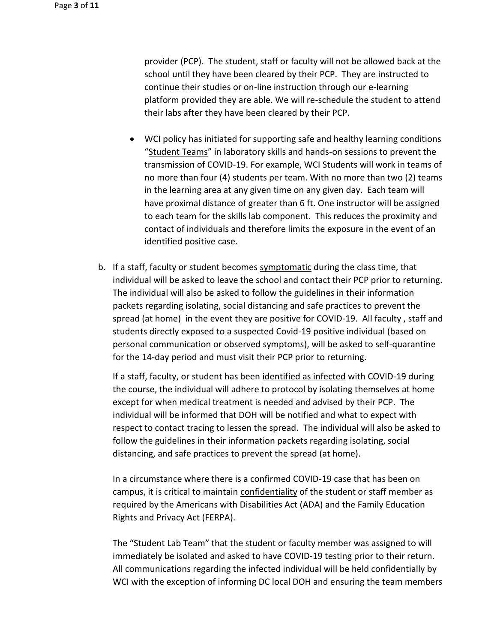provider (PCP). The student, staff or faculty will not be allowed back at the school until they have been cleared by their PCP. They are instructed to continue their studies or on-line instruction through our e-learning platform provided they are able. We will re-schedule the student to attend their labs after they have been cleared by their PCP.

- WCI policy has initiated for supporting safe and healthy learning conditions "Student Teams" in laboratory skills and hands-on sessions to prevent the transmission of COVID-19. For example, WCI Students will work in teams of no more than four (4) students per team. With no more than two (2) teams in the learning area at any given time on any given day. Each team will have proximal distance of greater than 6 ft. One instructor will be assigned to each team for the skills lab component. This reduces the proximity and contact of individuals and therefore limits the exposure in the event of an identified positive case.
- b. If a staff, faculty or student becomes symptomatic during the class time, that individual will be asked to leave the school and contact their PCP prior to returning. The individual will also be asked to follow the guidelines in their information packets regarding isolating, social distancing and safe practices to prevent the spread (at home) in the event they are positive for COVID-19. All faculty , staff and students directly exposed to a suspected Covid-19 positive individual (based on personal communication or observed symptoms), will be asked to self-quarantine for the 14-day period and must visit their PCP prior to returning.

If a staff, faculty, or student has been identified as infected with COVID-19 during the course, the individual will adhere to protocol by isolating themselves at home except for when medical treatment is needed and advised by their PCP. The individual will be informed that DOH will be notified and what to expect with respect to contact tracing to lessen the spread. The individual will also be asked to follow the guidelines in their information packets regarding isolating, social distancing, and safe practices to prevent the spread (at home).

In a circumstance where there is a confirmed COVID-19 case that has been on campus, it is critical to maintain confidentiality of the student or staff member as required by the Americans with Disabilities Act (ADA) and the Family Education Rights and Privacy Act (FERPA).

The "Student Lab Team" that the student or faculty member was assigned to will immediately be isolated and asked to have COVID-19 testing prior to their return. All communications regarding the infected individual will be held confidentially by WCI with the exception of informing DC local DOH and ensuring the team members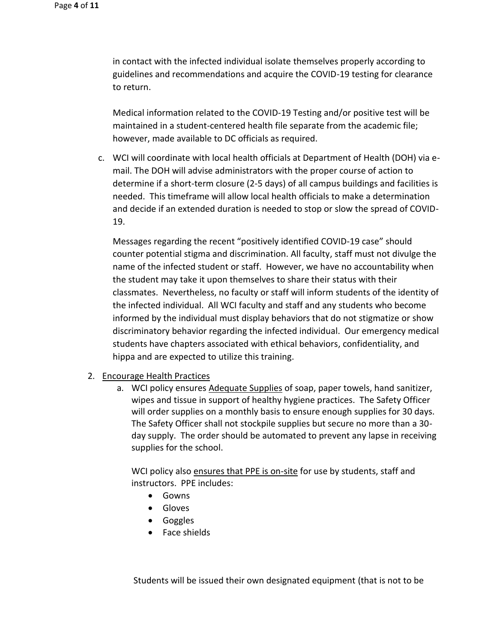in contact with the infected individual isolate themselves properly according to guidelines and recommendations and acquire the COVID-19 testing for clearance to return.

Medical information related to the COVID-19 Testing and/or positive test will be maintained in a student-centered health file separate from the academic file; however, made available to DC officials as required.

c. WCI will coordinate with local health officials at Department of Health (DOH) via email. The DOH will advise administrators with the proper course of action to determine if a short-term closure (2-5 days) of all campus buildings and facilities is needed. This timeframe will allow local health officials to make a determination and decide if an extended duration is needed to stop or slow the spread of COVID-19.

Messages regarding the recent "positively identified COVID-19 case" should counter potential stigma and discrimination. All faculty, staff must not divulge the name of the infected student or staff. However, we have no accountability when the student may take it upon themselves to share their status with their classmates. Nevertheless, no faculty or staff will inform students of the identity of the infected individual. All WCI faculty and staff and any students who become informed by the individual must display behaviors that do not stigmatize or show discriminatory behavior regarding the infected individual. Our emergency medical students have chapters associated with ethical behaviors, confidentiality, and hippa and are expected to utilize this training.

- 2. Encourage Health Practices
	- a. WCI policy ensures Adequate Supplies of soap, paper towels, hand sanitizer, wipes and tissue in support of healthy hygiene practices. The Safety Officer will order supplies on a monthly basis to ensure enough supplies for 30 days. The Safety Officer shall not stockpile supplies but secure no more than a 30 day supply. The order should be automated to prevent any lapse in receiving supplies for the school.

WCI policy also ensures that PPE is on-site for use by students, staff and instructors. PPE includes:

- Gowns
- Gloves
- Goggles
- Face shields

Students will be issued their own designated equipment (that is not to be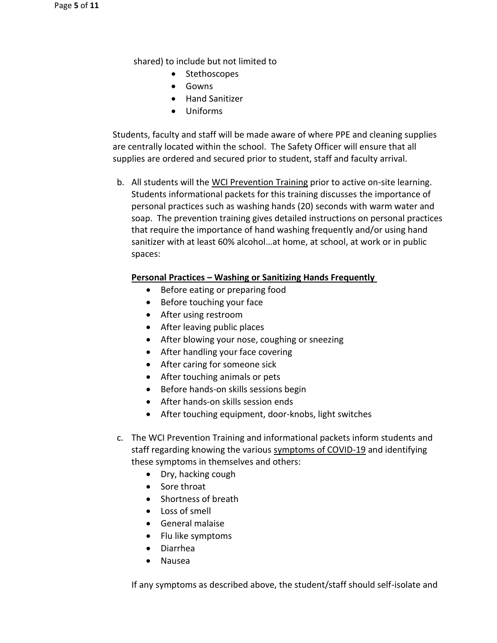shared) to include but not limited to

- Stethoscopes
- Gowns
- Hand Sanitizer
- Uniforms

Students, faculty and staff will be made aware of where PPE and cleaning supplies are centrally located within the school. The Safety Officer will ensure that all supplies are ordered and secured prior to student, staff and faculty arrival.

b. All students will the WCI Prevention Training prior to active on-site learning. Students informational packets for this training discusses the importance of personal practices such as washing hands (20) seconds with warm water and soap. The prevention training gives detailed instructions on personal practices that require the importance of hand washing frequently and/or using hand sanitizer with at least 60% alcohol…at home, at school, at work or in public spaces:

#### **Personal Practices – Washing or Sanitizing Hands Frequently**

- Before eating or preparing food
- Before touching your face
- After using restroom
- After leaving public places
- After blowing your nose, coughing or sneezing
- After handling your face covering
- After caring for someone sick
- After touching animals or pets
- Before hands-on skills sessions begin
- After hands-on skills session ends
- After touching equipment, door-knobs, light switches
- c. The WCI Prevention Training and informational packets inform students and staff regarding knowing the various symptoms of COVID-19 and identifying these symptoms in themselves and others:
	- Dry, hacking cough
	- Sore throat
	- Shortness of breath
	- Loss of smell
	- General malaise
	- Flu like symptoms
	- Diarrhea
	- Nausea

If any symptoms as described above, the student/staff should self-isolate and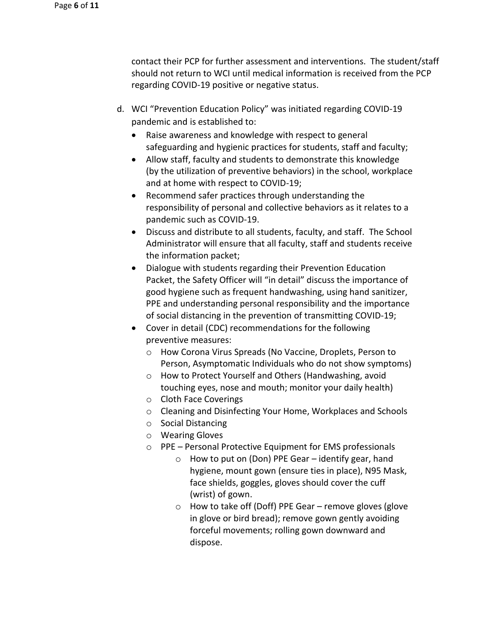contact their PCP for further assessment and interventions. The student/staff should not return to WCI until medical information is received from the PCP regarding COVID-19 positive or negative status.

- d. WCI "Prevention Education Policy" was initiated regarding COVID-19 pandemic and is established to:
	- Raise awareness and knowledge with respect to general safeguarding and hygienic practices for students, staff and faculty;
	- Allow staff, faculty and students to demonstrate this knowledge (by the utilization of preventive behaviors) in the school, workplace and at home with respect to COVID-19;
	- Recommend safer practices through understanding the responsibility of personal and collective behaviors as it relates to a pandemic such as COVID-19.
	- Discuss and distribute to all students, faculty, and staff. The School Administrator will ensure that all faculty, staff and students receive the information packet;
	- Dialogue with students regarding their Prevention Education Packet, the Safety Officer will "in detail" discuss the importance of good hygiene such as frequent handwashing, using hand sanitizer, PPE and understanding personal responsibility and the importance of social distancing in the prevention of transmitting COVID-19;
	- Cover in detail (CDC) recommendations for the following preventive measures:
		- o How Corona Virus Spreads (No Vaccine, Droplets, Person to Person, Asymptomatic Individuals who do not show symptoms)
		- o How to Protect Yourself and Others (Handwashing, avoid touching eyes, nose and mouth; monitor your daily health)
		- o Cloth Face Coverings
		- o Cleaning and Disinfecting Your Home, Workplaces and Schools
		- o Social Distancing
		- o Wearing Gloves
		- o PPE Personal Protective Equipment for EMS professionals
			- $\circ$  How to put on (Don) PPE Gear identify gear, hand hygiene, mount gown (ensure ties in place), N95 Mask, face shields, goggles, gloves should cover the cuff (wrist) of gown.
			- o How to take off (Doff) PPE Gear remove gloves (glove in glove or bird bread); remove gown gently avoiding forceful movements; rolling gown downward and dispose.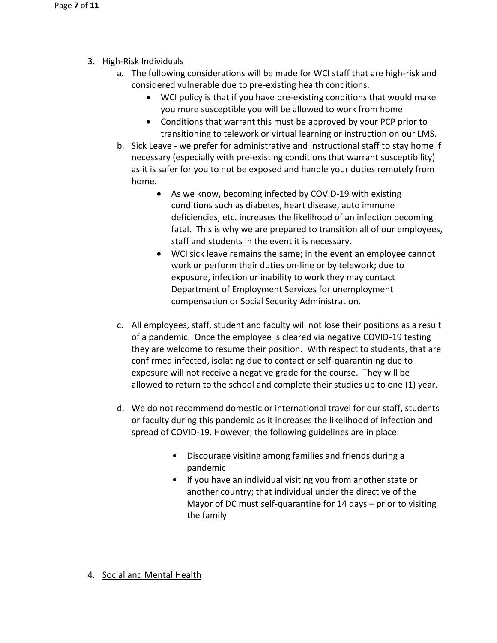- 3. High-Risk Individuals
	- a. The following considerations will be made for WCI staff that are high-risk and considered vulnerable due to pre-existing health conditions.
		- WCI policy is that if you have pre-existing conditions that would make you more susceptible you will be allowed to work from home
		- Conditions that warrant this must be approved by your PCP prior to transitioning to telework or virtual learning or instruction on our LMS.
	- b. Sick Leave we prefer for administrative and instructional staff to stay home if necessary (especially with pre-existing conditions that warrant susceptibility) as it is safer for you to not be exposed and handle your duties remotely from home.
		- As we know, becoming infected by COVID-19 with existing conditions such as diabetes, heart disease, auto immune deficiencies, etc. increases the likelihood of an infection becoming fatal. This is why we are prepared to transition all of our employees, staff and students in the event it is necessary.
		- WCI sick leave remains the same; in the event an employee cannot work or perform their duties on-line or by telework; due to exposure, infection or inability to work they may contact Department of Employment Services for unemployment compensation or Social Security Administration.
	- c. All employees, staff, student and faculty will not lose their positions as a result of a pandemic. Once the employee is cleared via negative COVID-19 testing they are welcome to resume their position. With respect to students, that are confirmed infected, isolating due to contact or self-quarantining due to exposure will not receive a negative grade for the course. They will be allowed to return to the school and complete their studies up to one (1) year.
	- d. We do not recommend domestic or international travel for our staff, students or faculty during this pandemic as it increases the likelihood of infection and spread of COVID-19. However; the following guidelines are in place:
		- Discourage visiting among families and friends during a pandemic
		- If you have an individual visiting you from another state or another country; that individual under the directive of the Mayor of DC must self-quarantine for 14 days – prior to visiting the family
- 4. Social and Mental Health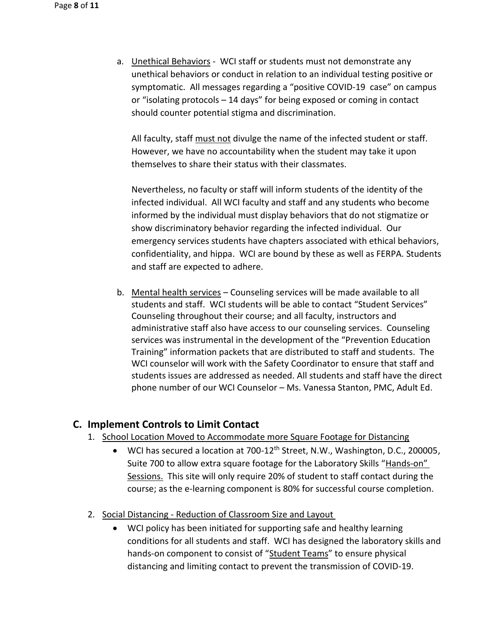a. Unethical Behaviors - WCI staff or students must not demonstrate any unethical behaviors or conduct in relation to an individual testing positive or symptomatic. All messages regarding a "positive COVID-19 case" on campus or "isolating protocols – 14 days" for being exposed or coming in contact should counter potential stigma and discrimination.

All faculty, staff must not divulge the name of the infected student or staff. However, we have no accountability when the student may take it upon themselves to share their status with their classmates.

Nevertheless, no faculty or staff will inform students of the identity of the infected individual. All WCI faculty and staff and any students who become informed by the individual must display behaviors that do not stigmatize or show discriminatory behavior regarding the infected individual. Our emergency services students have chapters associated with ethical behaviors, confidentiality, and hippa. WCI are bound by these as well as FERPA. Students and staff are expected to adhere.

b. Mental health services – Counseling services will be made available to all students and staff. WCI students will be able to contact "Student Services" Counseling throughout their course; and all faculty, instructors and administrative staff also have access to our counseling services. Counseling services was instrumental in the development of the "Prevention Education Training" information packets that are distributed to staff and students. The WCI counselor will work with the Safety Coordinator to ensure that staff and students issues are addressed as needed. All students and staff have the direct phone number of our WCI Counselor – Ms. Vanessa Stanton, PMC, Adult Ed.

### **C. Implement Controls to Limit Contact**

- 1. School Location Moved to Accommodate more Square Footage for Distancing
	- WCI has secured a location at 700-12<sup>th</sup> Street, N.W., Washington, D.C., 200005, Suite 700 to allow extra square footage for the Laboratory Skills "Hands-on" Sessions. This site will only require 20% of student to staff contact during the course; as the e-learning component is 80% for successful course completion.
- 2. Social Distancing Reduction of Classroom Size and Layout
	- WCI policy has been initiated for supporting safe and healthy learning conditions for all students and staff. WCI has designed the laboratory skills and hands-on component to consist of "Student Teams" to ensure physical distancing and limiting contact to prevent the transmission of COVID-19.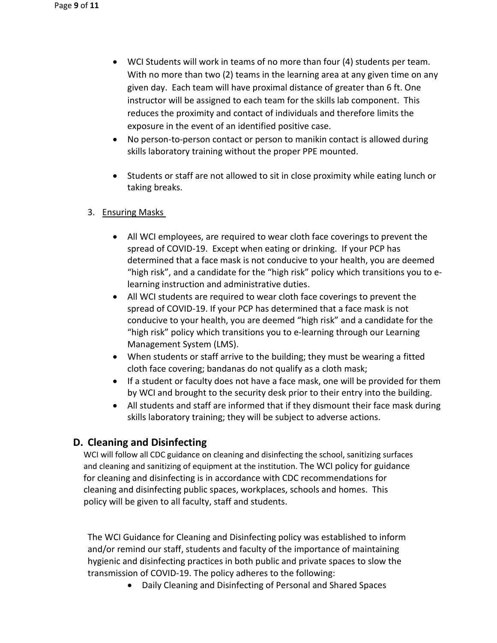- WCI Students will work in teams of no more than four (4) students per team. With no more than two (2) teams in the learning area at any given time on any given day. Each team will have proximal distance of greater than 6 ft. One instructor will be assigned to each team for the skills lab component. This reduces the proximity and contact of individuals and therefore limits the exposure in the event of an identified positive case.
- No person-to-person contact or person to manikin contact is allowed during skills laboratory training without the proper PPE mounted.
- Students or staff are not allowed to sit in close proximity while eating lunch or taking breaks.

### 3. Ensuring Masks

- All WCI employees, are required to wear cloth face coverings to prevent the spread of COVID-19. Except when eating or drinking. If your PCP has determined that a face mask is not conducive to your health, you are deemed "high risk", and a candidate for the "high risk" policy which transitions you to elearning instruction and administrative duties.
- All WCI students are required to wear cloth face coverings to prevent the spread of COVID-19. If your PCP has determined that a face mask is not conducive to your health, you are deemed "high risk" and a candidate for the "high risk" policy which transitions you to e-learning through our Learning Management System (LMS).
- When students or staff arrive to the building; they must be wearing a fitted cloth face covering; bandanas do not qualify as a cloth mask;
- If a student or faculty does not have a face mask, one will be provided for them by WCI and brought to the security desk prior to their entry into the building.
- All students and staff are informed that if they dismount their face mask during skills laboratory training; they will be subject to adverse actions.

## **D. Cleaning and Disinfecting**

WCI will follow all CDC guidance on cleaning and disinfecting the school, sanitizing surfaces and cleaning and sanitizing of equipment at the institution. The WCI policy for guidance for cleaning and disinfecting is in accordance with CDC recommendations for cleaning and disinfecting public spaces, workplaces, schools and homes. This policy will be given to all faculty, staff and students.

The WCI Guidance for Cleaning and Disinfecting policy was established to inform and/or remind our staff, students and faculty of the importance of maintaining hygienic and disinfecting practices in both public and private spaces to slow the transmission of COVID-19. The policy adheres to the following:

• Daily Cleaning and Disinfecting of Personal and Shared Spaces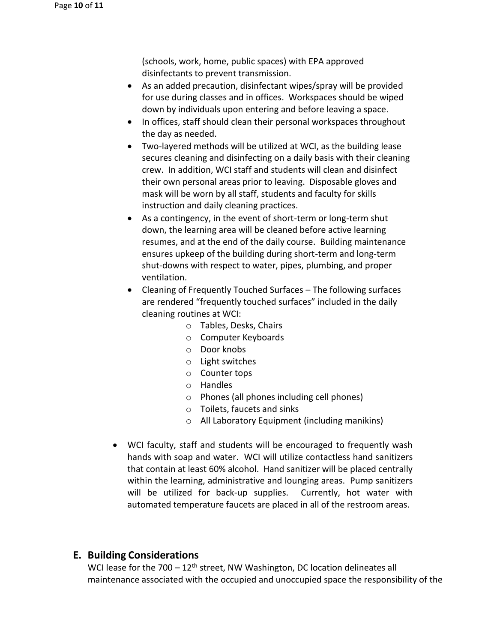(schools, work, home, public spaces) with EPA approved disinfectants to prevent transmission.

- As an added precaution, disinfectant wipes/spray will be provided for use during classes and in offices. Workspaces should be wiped down by individuals upon entering and before leaving a space.
- In offices, staff should clean their personal workspaces throughout the day as needed.
- Two-layered methods will be utilized at WCI, as the building lease secures cleaning and disinfecting on a daily basis with their cleaning crew. In addition, WCI staff and students will clean and disinfect their own personal areas prior to leaving. Disposable gloves and mask will be worn by all staff, students and faculty for skills instruction and daily cleaning practices.
- As a contingency, in the event of short-term or long-term shut down, the learning area will be cleaned before active learning resumes, and at the end of the daily course. Building maintenance ensures upkeep of the building during short-term and long-term shut-downs with respect to water, pipes, plumbing, and proper ventilation.
- Cleaning of Frequently Touched Surfaces The following surfaces are rendered "frequently touched surfaces" included in the daily cleaning routines at WCI:
	- o Tables, Desks, Chairs
	- o Computer Keyboards
	- o Door knobs
	- o Light switches
	- o Counter tops
	- o Handles
	- o Phones (all phones including cell phones)
	- o Toilets, faucets and sinks
	- o All Laboratory Equipment (including manikins)
- WCI faculty, staff and students will be encouraged to frequently wash hands with soap and water. WCI will utilize contactless hand sanitizers that contain at least 60% alcohol. Hand sanitizer will be placed centrally within the learning, administrative and lounging areas. Pump sanitizers will be utilized for back-up supplies. Currently, hot water with automated temperature faucets are placed in all of the restroom areas.

## **E. Building Considerations**

WCI lease for the  $700 - 12$ <sup>th</sup> street, NW Washington, DC location delineates all maintenance associated with the occupied and unoccupied space the responsibility of the